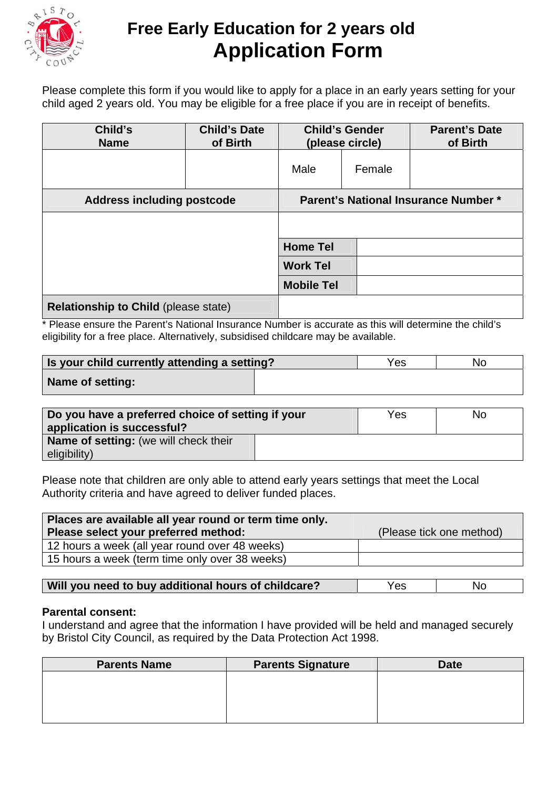

# **Free Early Education for 2 years old Application Form**

Please complete this form if you would like to apply for a place in an early years setting for your child aged 2 years old. You may be eligible for a free place if you are in receipt of benefits.

| Child's<br><b>Name</b>                      | <b>Child's Date</b><br>of Birth | <b>Child's Gender</b><br>(please circle)    |        | <b>Parent's Date</b><br>of Birth |
|---------------------------------------------|---------------------------------|---------------------------------------------|--------|----------------------------------|
|                                             |                                 | Male                                        | Female |                                  |
| <b>Address including postcode</b>           |                                 | <b>Parent's National Insurance Number *</b> |        |                                  |
|                                             |                                 |                                             |        |                                  |
|                                             |                                 | <b>Home Tel</b>                             |        |                                  |
|                                             |                                 | <b>Work Tel</b>                             |        |                                  |
|                                             |                                 | <b>Mobile Tel</b>                           |        |                                  |
| <b>Relationship to Child (please state)</b> |                                 |                                             |        |                                  |

\* Please ensure the Parent's National Insurance Number is accurate as this will determine the child's eligibility for a free place. Alternatively, subsidised childcare may be available.

| Is your child currently attending a setting? | Yes | No |
|----------------------------------------------|-----|----|
| Name of setting:                             |     |    |

| Do you have a preferred choice of setting if your<br>application is successful? | Yes | No |
|---------------------------------------------------------------------------------|-----|----|
| Name of setting: (we will check their<br>eligibility)                           |     |    |

Please note that children are only able to attend early years settings that meet the Local Authority criteria and have agreed to deliver funded places.

| Places are available all year round or term time only. |                          |
|--------------------------------------------------------|--------------------------|
| Please select your preferred method:                   | (Please tick one method) |
| 12 hours a week (all year round over 48 weeks)         |                          |
| 15 hours a week (term time only over 38 weeks)         |                          |

### **Parental consent:**

I understand and agree that the information I have provided will be held and managed securely by Bristol City Council, as required by the Data Protection Act 1998.

| <b>Parents Name</b> | <b>Parents Signature</b> | <b>Date</b> |
|---------------------|--------------------------|-------------|
|                     |                          |             |
|                     |                          |             |
|                     |                          |             |
|                     |                          |             |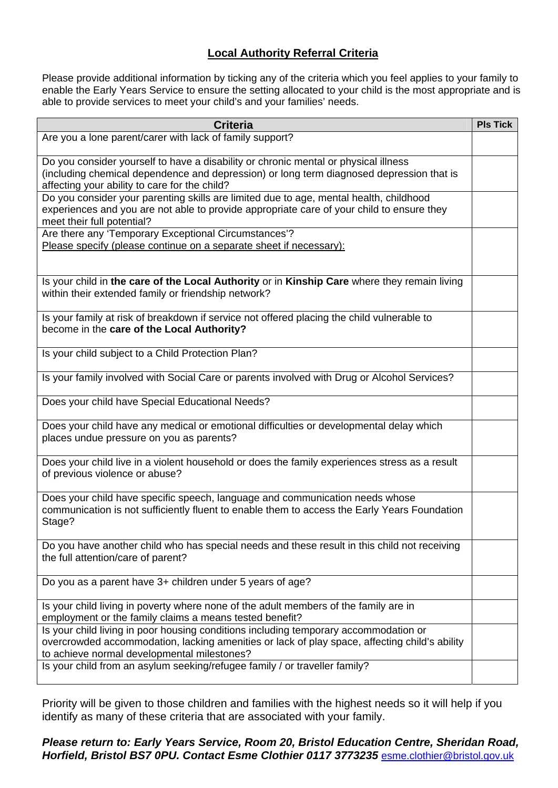## **Local Authority Referral Criteria**

Please provide additional information by ticking any of the criteria which you feel applies to your family to enable the Early Years Service to ensure the setting allocated to your child is the most appropriate and is able to provide services to meet your child's and your families' needs.

| <b>Criteria</b>                                                                                                                                                                                                                      | <b>PIs Tick</b> |
|--------------------------------------------------------------------------------------------------------------------------------------------------------------------------------------------------------------------------------------|-----------------|
| Are you a lone parent/carer with lack of family support?                                                                                                                                                                             |                 |
| Do you consider yourself to have a disability or chronic mental or physical illness<br>(including chemical dependence and depression) or long term diagnosed depression that is<br>affecting your ability to care for the child?     |                 |
| Do you consider your parenting skills are limited due to age, mental health, childhood<br>experiences and you are not able to provide appropriate care of your child to ensure they<br>meet their full potential?                    |                 |
| Are there any 'Temporary Exceptional Circumstances'?<br>Please specify (please continue on a separate sheet if necessary):                                                                                                           |                 |
| Is your child in the care of the Local Authority or in Kinship Care where they remain living<br>within their extended family or friendship network?                                                                                  |                 |
| Is your family at risk of breakdown if service not offered placing the child vulnerable to<br>become in the care of the Local Authority?                                                                                             |                 |
| Is your child subject to a Child Protection Plan?                                                                                                                                                                                    |                 |
| Is your family involved with Social Care or parents involved with Drug or Alcohol Services?                                                                                                                                          |                 |
| Does your child have Special Educational Needs?                                                                                                                                                                                      |                 |
| Does your child have any medical or emotional difficulties or developmental delay which<br>places undue pressure on you as parents?                                                                                                  |                 |
| Does your child live in a violent household or does the family experiences stress as a result<br>of previous violence or abuse?                                                                                                      |                 |
| Does your child have specific speech, language and communication needs whose<br>communication is not sufficiently fluent to enable them to access the Early Years Foundation<br>Stage?                                               |                 |
| Do you have another child who has special needs and these result in this child not receiving<br>the full attention/care of parent?                                                                                                   |                 |
| Do you as a parent have 3+ children under 5 years of age?                                                                                                                                                                            |                 |
| Is your child living in poverty where none of the adult members of the family are in<br>employment or the family claims a means tested benefit?                                                                                      |                 |
| Is your child living in poor housing conditions including temporary accommodation or<br>overcrowded accommodation, lacking amenities or lack of play space, affecting child's ability<br>to achieve normal developmental milestones? |                 |
| Is your child from an asylum seeking/refugee family / or traveller family?                                                                                                                                                           |                 |

Priority will be given to those children and families with the highest needs so it will help if you identify as many of these criteria that are associated with your family.

### *Please return to: Early Years Service, Room 20, Bristol Education Centre, Sheridan Road, Horfield, Bristol BS7 0PU. Contact Esme Clothier 0117 3773235* esme.clothier@bristol.gov.uk